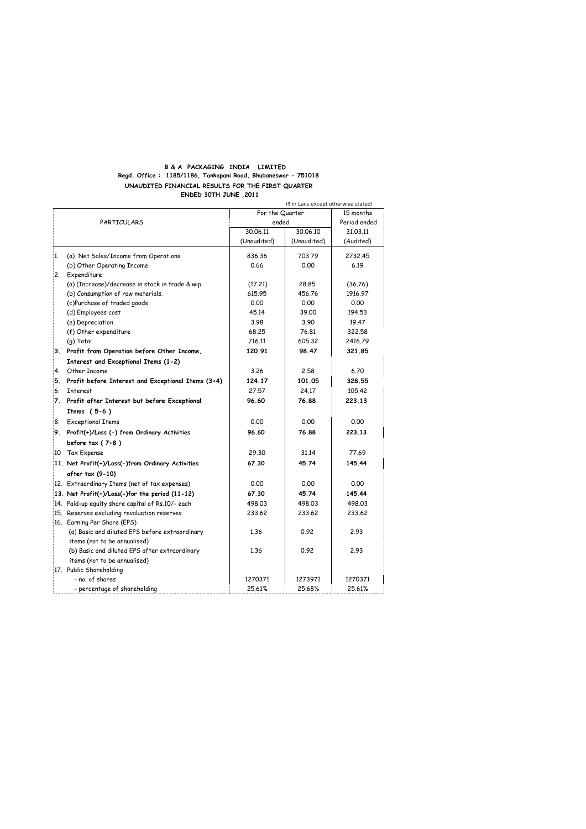## **B & A PACKAGING INDIA LIMITED Regd. Office : 1185/1186, Tankapani Road, Bhubaneswar - 751018 UNAUDITED FINANCIAL RESULTS FOR THE FIRST QUARTER ENDED 30TH JUNE ,2011**

|    |                                                    |                          | (₹ in Lacs except otherwise stated) |                           |  |
|----|----------------------------------------------------|--------------------------|-------------------------------------|---------------------------|--|
|    |                                                    | For the Quarter<br>ended |                                     | 15 months<br>Period ended |  |
|    | PARTICULARS                                        |                          |                                     |                           |  |
|    |                                                    | 30.06.11                 | 30.06.10                            | 31.03.11                  |  |
|    |                                                    | (Unaudited)              | (Unaudited)                         | (Audited)                 |  |
| 1. | (a) Net Sales/Income from Operations               | 836.36                   | 703.79                              | 2732.45                   |  |
|    | (b) Other Operating Income                         | 0.66                     | 0.00                                | 6.19                      |  |
|    | 2. Expenditure:                                    |                          |                                     |                           |  |
|    | (a) (Increase)/decrease in stock in trade & wip    | (17.21)                  | 28.85                               | (36.76)                   |  |
|    | (b) Consumption of raw materials.                  | 615.95                   | 456.76                              | 1916.97                   |  |
|    | (c)Purchase of traded goods                        | 0.00                     | 0.00                                | 0.00                      |  |
|    | (d) Employees cost                                 | 45.14                    | 39.00                               | 194.53                    |  |
|    | (e) Depreciation                                   | 3.98                     | 3.90                                | 19.47                     |  |
|    | (f) Other expenditure                              | 68.25                    | 76.81                               | 322.58                    |  |
|    | (g) Total                                          | 716.11                   | 605.32                              | 2416.79                   |  |
|    | 3. Profit from Operation before Other Income,      | 120.91                   | 98.47                               | 321,85                    |  |
|    | Interest and Exceptional Items (1-2)               |                          |                                     |                           |  |
| 4. | Other Income                                       | 3.26                     | 2.58                                | 6.70                      |  |
| 5. | Profit before Interest and Exceptional Items (3+4) | 124.17                   | 101.05                              | 328.55                    |  |
| 6. | <b>Interest</b>                                    | 27.57                    | 24.17                               | 105.42                    |  |
|    | 7. Profit after Interest but before Exceptional    | 96.60                    | 76.88                               | 223.13                    |  |
|    | Items $(5-6)$                                      |                          |                                     |                           |  |
|    | 8. Exceptional Items                               | 0.00                     | 0.00                                | 0.00                      |  |
|    | 9. Profit(+)/Loss (-) from Ordinary Activities     | 96.60                    | 76.88                               | 223.13                    |  |
|    | before tax $(7+8)$                                 |                          |                                     |                           |  |
|    | 10 Tax Expense                                     | 29.30                    | 31.14                               | 77.69                     |  |
|    | 11. Net Profit(+)/Loss(-)from Ordinary Activities  | 67.30                    | 45.74                               | 145.44                    |  |
|    | after tax (9-10)                                   |                          |                                     |                           |  |
|    | 12. Extraordinary Items (net of tax expenses)      | 0.00                     | 0.00                                | 0.00                      |  |
|    | 13. Net Profit(+)/Loss(-)for the period (11-12)    | 67.30                    | 45.74                               | 145.44                    |  |
|    | 14. Paid-up equity share capital of Rs.10/- each   | 498.03                   | 498.03                              | 498.03                    |  |
|    | 15. Reserves excluding revaluation reserves        | 233.62                   | 233.62                              | 233.62                    |  |
|    | 16. Earning Per Share (EPS)                        |                          |                                     |                           |  |
|    | (a) Basic and diluted EPS before extraordinary     | 1.36                     | 0.92                                | 2.93                      |  |
|    | items (not to be annualised)                       |                          |                                     |                           |  |
|    | (b) Basic and diluted EPS after extraordinary      | 1.36                     | 0.92                                | 2.93                      |  |
|    | items (not to be annualised)                       |                          |                                     |                           |  |
|    | 17. Public Shareholding                            |                          |                                     |                           |  |
|    | - no. of shares                                    | 1270371                  | 1273971                             | 1270371                   |  |
|    | - percentage of shareholding                       | 25.61%                   | 25.68%                              | 25.61%                    |  |